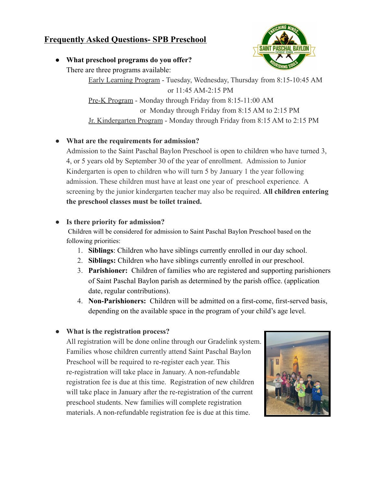# **Frequently Asked Questions- SPB Preschool**

**SAINT** 

**● What preschool programs do you offer?** There are three programs available:

> Early Learning Program - Tuesday, Wednesday, Thursday from 8:15-10:45 AM or 11:45 AM-2:15 PM Pre-K Program - Monday through Friday from 8:15-11:00 AM or Monday through Friday from 8:15 AM to 2:15 PM Jr. Kindergarten Program - Monday through Friday from 8:15 AM to 2:15 PM

## **● What are the requirements for admission?**

Admission to the Saint Paschal Baylon Preschool is open to children who have turned 3, 4, or 5 years old by September 30 of the year of enrollment. Admission to Junior Kindergarten is open to children who will turn 5 by January 1 the year following admission. These children must have at least one year of preschool experience. A screening by the junior kindergarten teacher may also be required. **All children entering the preschool classes must be toilet trained.**

## **● Is there priority for admission?**

Children will be considered for admission to Saint Paschal Baylon Preschool based on the following priorities:

- 1. **Siblings**: Children who have siblings currently enrolled in our day school.
- 2. **Siblings:** Children who have siblings currently enrolled in our preschool.
- 3. **Parishioner:** Children of families who are registered and supporting parishioners of Saint Paschal Baylon parish as determined by the parish office. (application date, regular contributions).
- 4. **Non-Parishioners:** Children will be admitted on a first-come, first-served basis, depending on the available space in the program of your child's age level.

# **● What is the registration process?**

All registration will be done online through our Gradelink system. Families whose children currently attend Saint Paschal Baylon Preschool will be required to re-register each year. This re-registration will take place in January. A non-refundable registration fee is due at this time. Registration of new children will take place in January after the re-registration of the current preschool students. New families will complete registration materials. A non-refundable registration fee is due at this time.

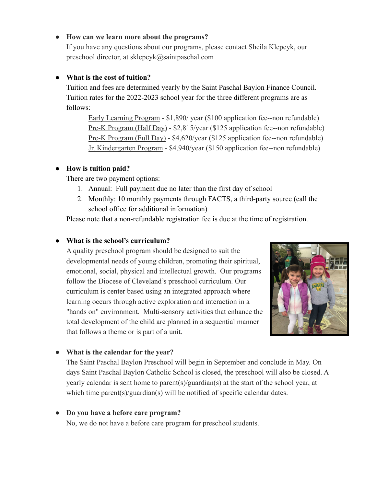## **● How can we learn more about the programs?**

If you have any questions about our programs, please contact Sheila Klepcyk, our preschool director, at sklepcyk@saintpaschal.com

### **● What is the cost of tuition?**

Tuition and fees are determined yearly by the Saint Paschal Baylon Finance Council. Tuition rates for the 2022-2023 school year for the three different programs are as follows:

Early Learning Program - \$1,890/ year (\$100 application fee--non refundable) Pre-K Program (Half Day) - \$2,815/year (\$125 application fee--non refundable) Pre-K Program (Full Day) - \$4,620/year (\$125 application fee--non refundable) Jr. Kindergarten Program - \$4,940/year (\$150 application fee--non refundable)

#### **● How is tuition paid?**

There are two payment options:

- 1. Annual: Full payment due no later than the first day of school
- 2. Monthly: 10 monthly payments through FACTS, a third-party source (call the school office for additional information)

Please note that a non-refundable registration fee is due at the time of registration.

### **● What is the school's curriculum?**

A quality preschool program should be designed to suit the developmental needs of young children, promoting their spiritual, emotional, social, physical and intellectual growth. Our programs follow the Diocese of Cleveland's preschool curriculum. Our curriculum is center based using an integrated approach where learning occurs through active exploration and interaction in a "hands on" environment. Multi-sensory activities that enhance the total development of the child are planned in a sequential manner that follows a theme or is part of a unit.



#### **● What is the calendar for the year?**

The Saint Paschal Baylon Preschool will begin in September and conclude in May. On days Saint Paschal Baylon Catholic School is closed, the preschool will also be closed. A yearly calendar is sent home to parent(s)/guardian(s) at the start of the school year, at which time parent(s)/guardian(s) will be notified of specific calendar dates.

#### **● Do you have a before care program?**

No, we do not have a before care program for preschool students.